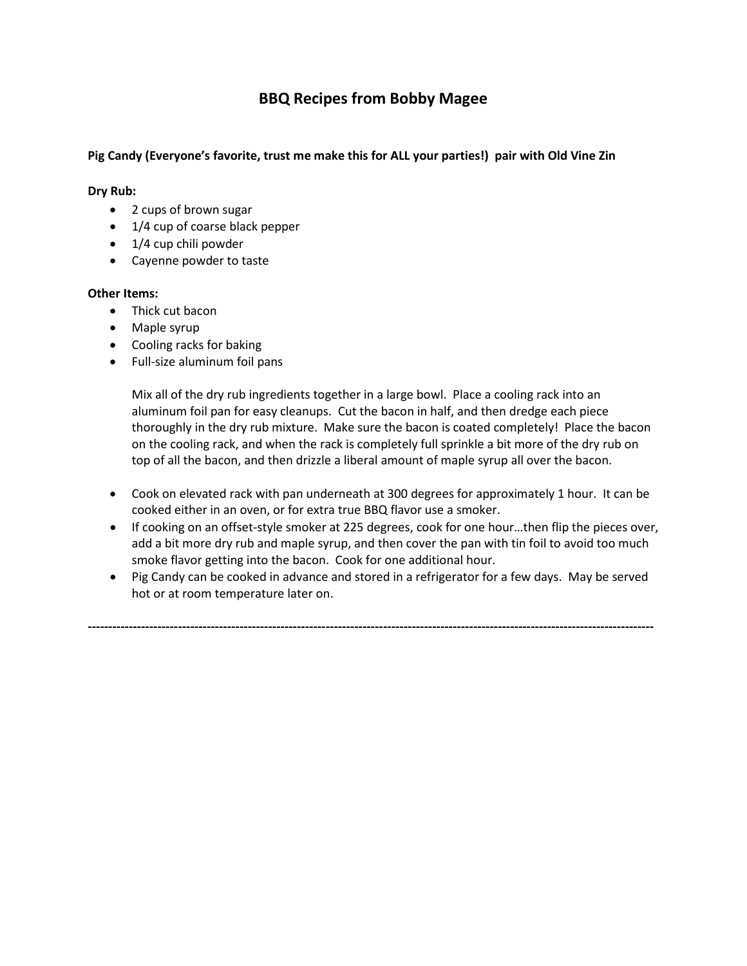# **BBQ Recipes from Bobby Magee**

## **Pig Candy (Everyone's favorite, trust me make this for ALL your parties!) pair with Old Vine Zin**

## **Dry Rub:**

- 2 cups of brown sugar
- 1/4 cup of coarse black pepper
- 1/4 cup chili powder
- Cayenne powder to taste

## **Other Items:**

- Thick cut bacon
- Maple syrup
- Cooling racks for baking
- Full-size aluminum foil pans

Mix all of the dry rub ingredients together in a large bowl. Place a cooling rack into an aluminum foil pan for easy cleanups. Cut the bacon in half, and then dredge each piece thoroughly in the dry rub mixture. Make sure the bacon is coated completely! Place the bacon on the cooling rack, and when the rack is completely full sprinkle a bit more of the dry rub on top of all the bacon, and then drizzle a liberal amount of maple syrup all over the bacon.

- Cook on elevated rack with pan underneath at 300 degrees for approximately 1 hour. It can be cooked either in an oven, or for extra true BBQ flavor use a smoker.
- If cooking on an offset-style smoker at 225 degrees, cook for one hour…then flip the pieces over, add a bit more dry rub and maple syrup, and then cover the pan with tin foil to avoid too much smoke flavor getting into the bacon. Cook for one additional hour.
- Pig Candy can be cooked in advance and stored in a refrigerator for a few days. May be served hot or at room temperature later on.

**------------------------------------------------------------------------------------------------------------------------------------------**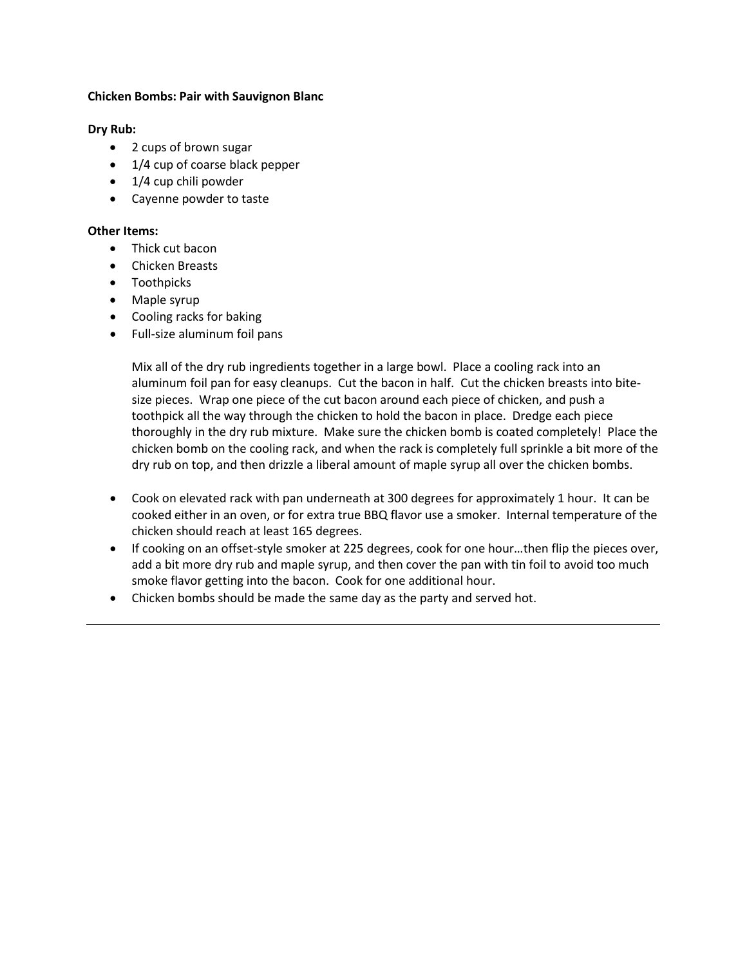## **Chicken Bombs: Pair with Sauvignon Blanc**

#### **Dry Rub:**

- 2 cups of brown sugar
- 1/4 cup of coarse black pepper
- 1/4 cup chili powder
- Cayenne powder to taste

#### **Other Items:**

- Thick cut bacon
- Chicken Breasts
- Toothpicks
- Maple syrup
- Cooling racks for baking
- Full-size aluminum foil pans

Mix all of the dry rub ingredients together in a large bowl. Place a cooling rack into an aluminum foil pan for easy cleanups. Cut the bacon in half. Cut the chicken breasts into bitesize pieces. Wrap one piece of the cut bacon around each piece of chicken, and push a toothpick all the way through the chicken to hold the bacon in place. Dredge each piece thoroughly in the dry rub mixture. Make sure the chicken bomb is coated completely! Place the chicken bomb on the cooling rack, and when the rack is completely full sprinkle a bit more of the dry rub on top, and then drizzle a liberal amount of maple syrup all over the chicken bombs.

- Cook on elevated rack with pan underneath at 300 degrees for approximately 1 hour. It can be cooked either in an oven, or for extra true BBQ flavor use a smoker. Internal temperature of the chicken should reach at least 165 degrees.
- If cooking on an offset-style smoker at 225 degrees, cook for one hour…then flip the pieces over, add a bit more dry rub and maple syrup, and then cover the pan with tin foil to avoid too much smoke flavor getting into the bacon. Cook for one additional hour.
- Chicken bombs should be made the same day as the party and served hot.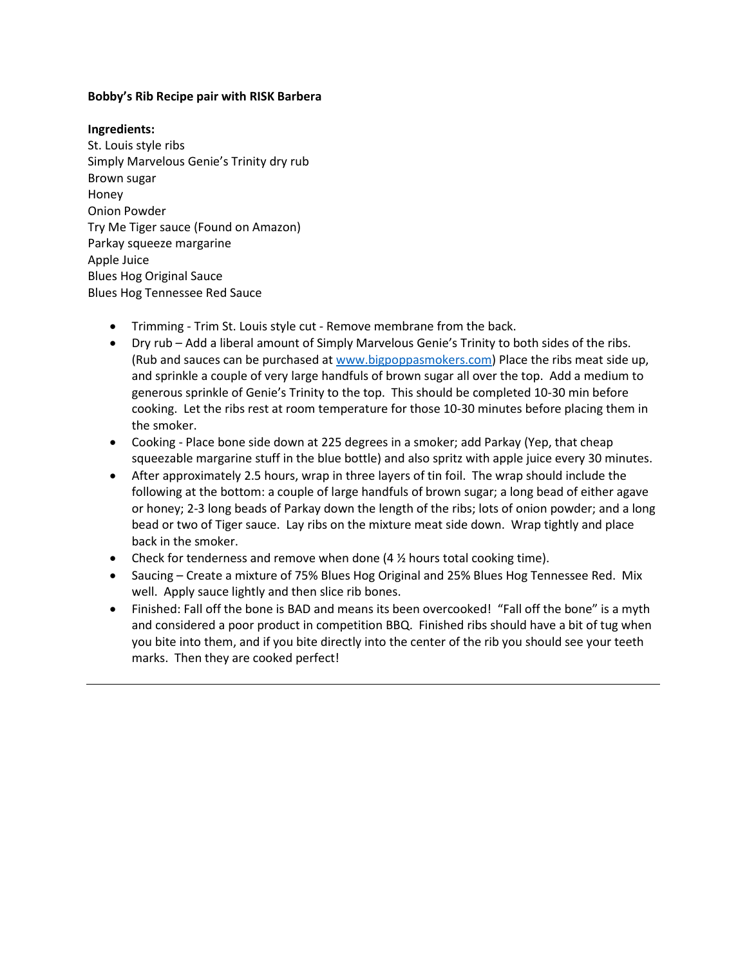## **Bobby's Rib Recipe pair with RISK Barbera**

#### **Ingredients:**

St. Louis style ribs Simply Marvelous Genie's Trinity dry rub Brown sugar Honey Onion Powder Try Me Tiger sauce (Found on Amazon) Parkay squeeze margarine Apple Juice Blues Hog Original Sauce Blues Hog Tennessee Red Sauce

- Trimming Trim St. Louis style cut Remove membrane from the back.
- Dry rub Add a liberal amount of Simply Marvelous Genie's Trinity to both sides of the ribs. (Rub and sauces can be purchased a[t www.bigpoppasmokers.com\)](http://www.bigpoppasmokers.com/) Place the ribs meat side up, and sprinkle a couple of very large handfuls of brown sugar all over the top. Add a medium to generous sprinkle of Genie's Trinity to the top. This should be completed 10-30 min before cooking. Let the ribs rest at room temperature for those 10-30 minutes before placing them in the smoker.
- Cooking Place bone side down at 225 degrees in a smoker; add Parkay (Yep, that cheap squeezable margarine stuff in the blue bottle) and also spritz with apple juice every 30 minutes.
- After approximately 2.5 hours, wrap in three layers of tin foil. The wrap should include the following at the bottom: a couple of large handfuls of brown sugar; a long bead of either agave or honey; 2-3 long beads of Parkay down the length of the ribs; lots of onion powder; and a long bead or two of Tiger sauce. Lay ribs on the mixture meat side down. Wrap tightly and place back in the smoker.
- Check for tenderness and remove when done  $(4 \frac{1}{2})$  hours total cooking time).
- Saucing Create a mixture of 75% Blues Hog Original and 25% Blues Hog Tennessee Red. Mix well. Apply sauce lightly and then slice rib bones.
- Finished: Fall off the bone is BAD and means its been overcooked! "Fall off the bone" is a myth and considered a poor product in competition BBQ. Finished ribs should have a bit of tug when you bite into them, and if you bite directly into the center of the rib you should see your teeth marks. Then they are cooked perfect!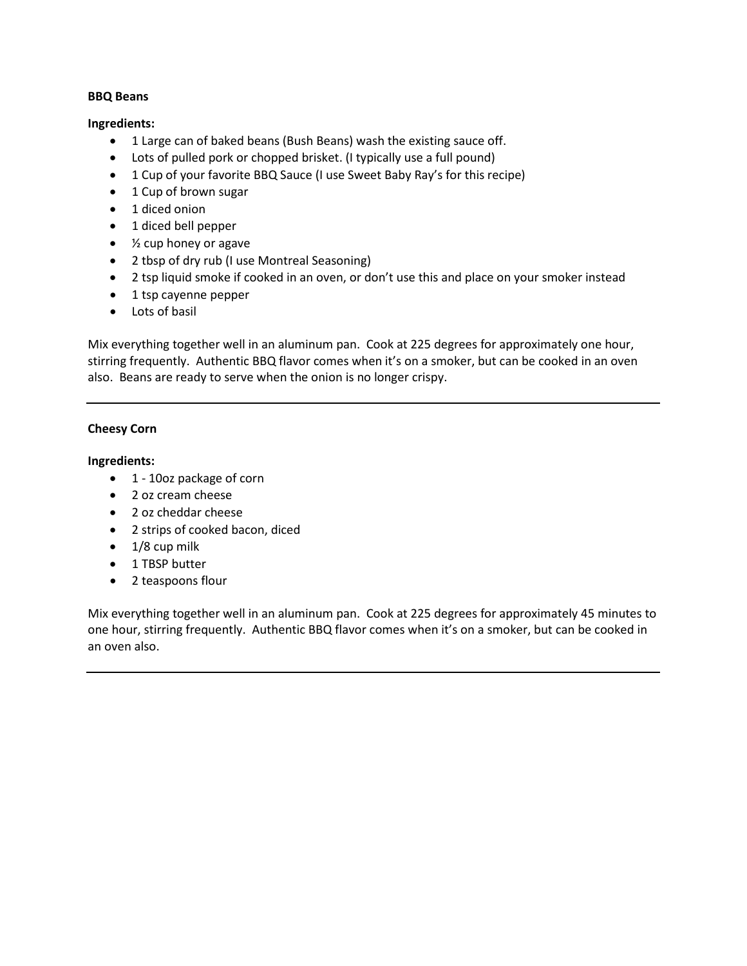## **BBQ Beans**

## **Ingredients:**

- 1 Large can of baked beans (Bush Beans) wash the existing sauce off.
- Lots of pulled pork or chopped brisket. (I typically use a full pound)
- 1 Cup of your favorite BBQ Sauce (I use Sweet Baby Ray's for this recipe)
- 1 Cup of brown sugar
- 1 diced onion
- 1 diced bell pepper
- ½ cup honey or agave
- 2 tbsp of dry rub (I use Montreal Seasoning)
- 2 tsp liquid smoke if cooked in an oven, or don't use this and place on your smoker instead
- 1 tsp cayenne pepper
- Lots of basil

Mix everything together well in an aluminum pan. Cook at 225 degrees for approximately one hour, stirring frequently. Authentic BBQ flavor comes when it's on a smoker, but can be cooked in an oven also. Beans are ready to serve when the onion is no longer crispy.

## **Cheesy Corn**

## **Ingredients:**

- 1 10oz package of corn
- 2 oz cream cheese
- 2 oz cheddar cheese
- 2 strips of cooked bacon, diced
- $\bullet$  1/8 cup milk
- 1 TBSP butter
- 2 teaspoons flour

Mix everything together well in an aluminum pan. Cook at 225 degrees for approximately 45 minutes to one hour, stirring frequently. Authentic BBQ flavor comes when it's on a smoker, but can be cooked in an oven also.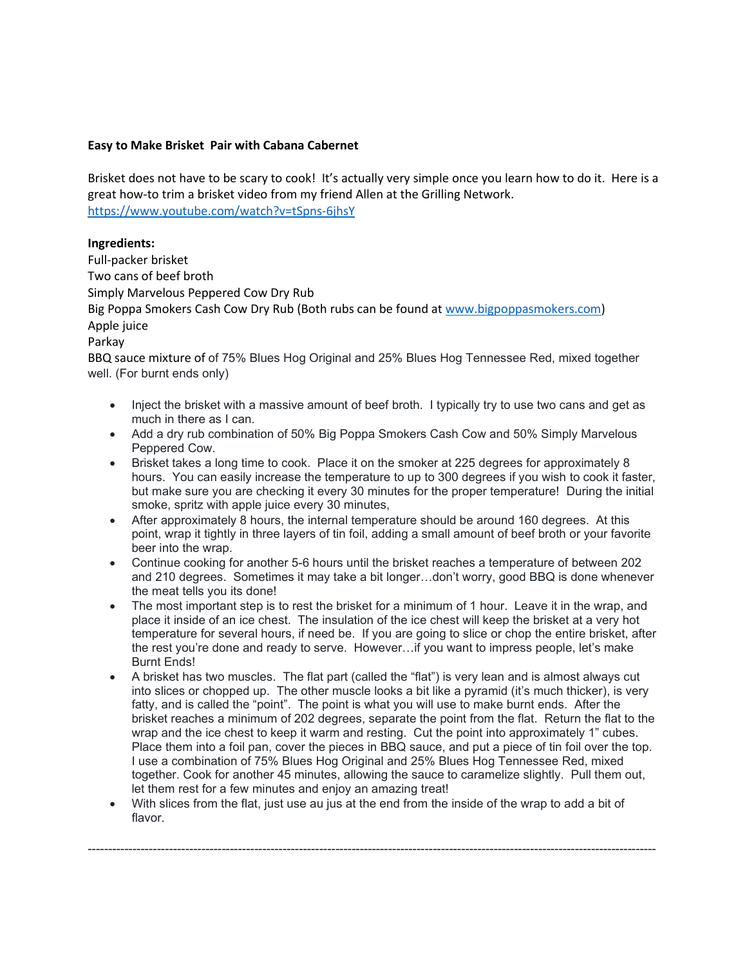#### **Easy to Make Brisket Pair with Cabana Cabernet**

Brisket does not have to be scary to cook! It's actually very simple once you learn how to do it. Here is a great how-to trim a brisket video from my friend Allen at the Grilling Network. <https://www.youtube.com/watch?v=tSpns-6jhsY>

#### **Ingredients:**

Full-packer brisket Two cans of beef broth Simply Marvelous Peppered Cow Dry Rub Big Poppa Smokers Cash Cow Dry Rub (Both rubs can be found at [www.bigpoppasmokers.com\)](http://www.bigpoppasmokers.com/) Apple juice Parkay BBQ sauce mixture of of 75% Blues Hog Original and 25% Blues Hog Tennessee Red, mixed together well. (For burnt ends only)

- Inject the brisket with a massive amount of beef broth. I typically try to use two cans and get as much in there as I can.
- Add a dry rub combination of 50% Big Poppa Smokers Cash Cow and 50% Simply Marvelous Peppered Cow.
- Brisket takes a long time to cook. Place it on the smoker at 225 degrees for approximately 8 hours. You can easily increase the temperature to up to 300 degrees if you wish to cook it faster, but make sure you are checking it every 30 minutes for the proper temperature! During the initial smoke, spritz with apple juice every 30 minutes,
- After approximately 8 hours, the internal temperature should be around 160 degrees. At this point, wrap it tightly in three layers of tin foil, adding a small amount of beef broth or your favorite beer into the wrap.
- Continue cooking for another 5-6 hours until the brisket reaches a temperature of between 202 and 210 degrees. Sometimes it may take a bit longer…don't worry, good BBQ is done whenever the meat tells you its done!
- The most important step is to rest the brisket for a minimum of 1 hour. Leave it in the wrap, and place it inside of an ice chest. The insulation of the ice chest will keep the brisket at a very hot temperature for several hours, if need be. If you are going to slice or chop the entire brisket, after the rest you're done and ready to serve. However…if you want to impress people, let's make Burnt Ends!
- A brisket has two muscles. The flat part (called the "flat") is very lean and is almost always cut into slices or chopped up. The other muscle looks a bit like a pyramid (it's much thicker), is very fatty, and is called the "point". The point is what you will use to make burnt ends. After the brisket reaches a minimum of 202 degrees, separate the point from the flat. Return the flat to the wrap and the ice chest to keep it warm and resting. Cut the point into approximately 1" cubes. Place them into a foil pan, cover the pieces in BBQ sauce, and put a piece of tin foil over the top. I use a combination of 75% Blues Hog Original and 25% Blues Hog Tennessee Red, mixed together. Cook for another 45 minutes, allowing the sauce to caramelize slightly. Pull them out, let them rest for a few minutes and enjoy an amazing treat!
- With slices from the flat, just use au jus at the end from the inside of the wrap to add a bit of flavor.

--------------------------------------------------------------------------------------------------------------------------------------------